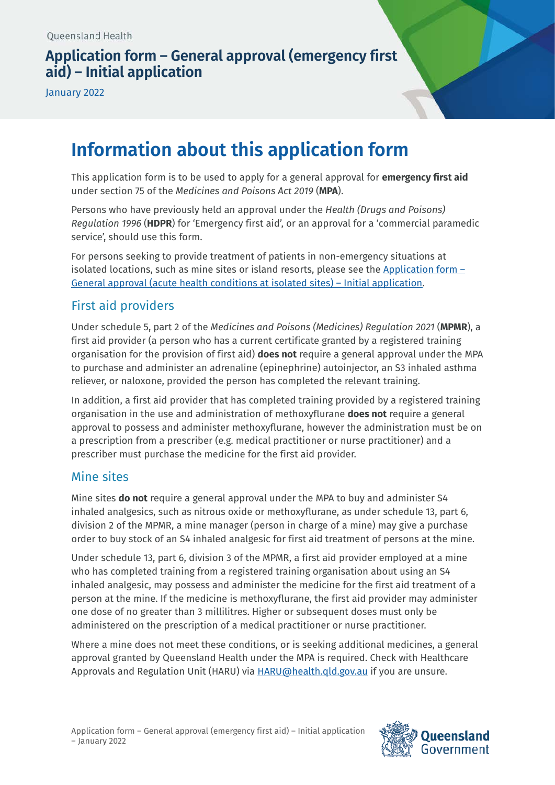## **Application form – General approval (emergency first aid) – Initial application**

January 2022

## **Information about this application form**

This application form is to be used to apply for a general approval for **emergency first aid** under section 75 of the *Medicines and Poisons Act 2019* (**MPA**).

Persons who have previously held an approval under the *Health (Drugs and Poisons) Regulation 1996* (**HDPR**) for 'Emergency first aid', or an approval for a 'commercial paramedic service', should use this form.

For persons seeking to provide treatment of patients in non-emergency situations at isolated locations, such as mine sites or island resorts, please see the Application form  $-$ [General approval \(acute health conditions at isolated sites\) – Initial application.](https://www.health.qld.gov.au/__data/assets/pdf_file/0014/1111316/form-general-acute-isolated-initial.pdf)

### First aid providers

Under schedule 5, part 2 of the *Medicines and Poisons (Medicines) Regulation 2021* (**MPMR**), a first aid provider (a person who has a current certificate granted by a registered training organisation for the provision of first aid) **does not** require a general approval under the MPA to purchase and administer an adrenaline (epinephrine) autoinjector, an S3 inhaled asthma reliever, or naloxone, provided the person has completed the relevant training.

In addition, a first aid provider that has completed training provided by a registered training organisation in the use and administration of methoxyflurane **does not** require a general approval to possess and administer methoxyflurane, however the administration must be on a prescription from a prescriber (e.g. medical practitioner or nurse practitioner) and a prescriber must purchase the medicine for the first aid provider.

### Mine sites

Mine sites **do not** require a general approval under the MPA to buy and administer S4 inhaled analgesics, such as nitrous oxide or methoxyflurane, as under schedule 13, part 6, division 2 of the MPMR, a mine manager (person in charge of a mine) may give a purchase order to buy stock of an S4 inhaled analgesic for first aid treatment of persons at the mine.

Under schedule 13, part 6, division 3 of the MPMR, a first aid provider employed at a mine who has completed training from a registered training organisation about using an S4 inhaled analgesic, may possess and administer the medicine for the first aid treatment of a person at the mine. If the medicine is methoxyflurane, the first aid provider may administer one dose of no greater than 3 millilitres. Higher or subsequent doses must only be administered on the prescription of a medical practitioner or nurse practitioner.

Where a mine does not meet these conditions, or is seeking additional medicines, a general approval granted by Queensland Health under the MPA is required. Check with Healthcare Approvals and Regulation Unit (HARU) via [HARU@health.qld.gov.au](mailto:HARU@health.qld.gov.au) if you are unsure.

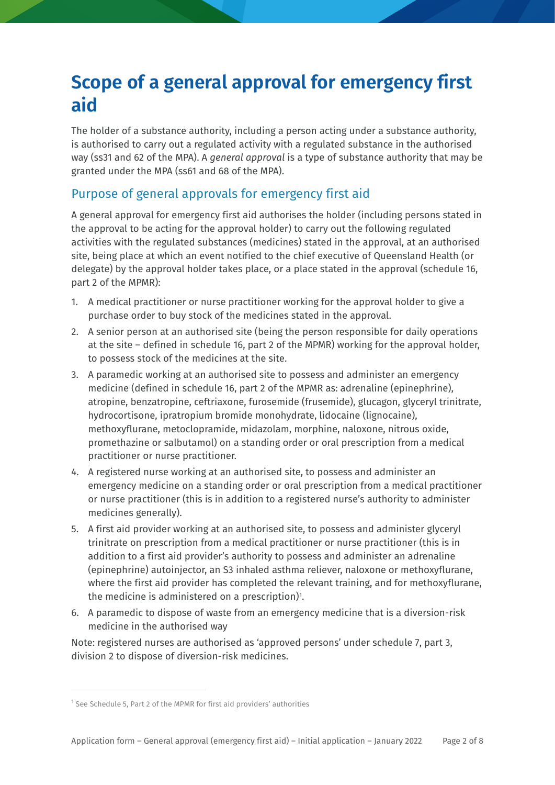# **Scope of a general approval for emergency first aid**

The holder of a substance authority, including a person acting under a substance authority, is authorised to carry out a regulated activity with a regulated substance in the authorised way (ss31 and 62 of the MPA). A *general approval* is a type of substance authority that may be granted under the MPA (ss61 and 68 of the MPA).

## Purpose of general approvals for emergency first aid

A general approval for emergency first aid authorises the holder (including persons stated in the approval to be acting for the approval holder) to carry out the following regulated activities with the regulated substances (medicines) stated in the approval, at an authorised site, being place at which an event notified to the chief executive of Queensland Health (or delegate) by the approval holder takes place, or a place stated in the approval (schedule 16, part 2 of the MPMR):

- 1. A medical practitioner or nurse practitioner working for the approval holder to give a purchase order to buy stock of the medicines stated in the approval.
- 2. A senior person at an authorised site (being the person responsible for daily operations at the site – defined in schedule 16, part 2 of the MPMR) working for the approval holder, to possess stock of the medicines at the site.
- 3. A paramedic working at an authorised site to possess and administer an emergency medicine (defined in schedule 16, part 2 of the MPMR as: adrenaline (epinephrine), atropine, benzatropine, ceftriaxone, furosemide (frusemide), glucagon, glyceryl trinitrate, hydrocortisone, ipratropium bromide monohydrate, lidocaine (lignocaine), methoxyflurane, metoclopramide, midazolam, morphine, naloxone, nitrous oxide, promethazine or salbutamol) on a standing order or oral prescription from a medical practitioner or nurse practitioner.
- 4. A registered nurse working at an authorised site, to possess and administer an emergency medicine on a standing order or oral prescription from a medical practitioner or nurse practitioner (this is in addition to a registered nurse's authority to administer medicines generally).
- 5. A first aid provider working at an authorised site, to possess and administer glyceryl trinitrate on prescription from a medical practitioner or nurse practitioner (this is in addition to a first aid provider's authority to possess and administer an adrenaline (epinephrine) autoinjector, an S3 inhaled asthma reliever, naloxone or methoxyflurane, where the first aid provider has completed the relevant training, and for methoxyflurane, the medicine is administered on a prescription)<sup>[1](#page-1-0)</sup>.
- 6. A paramedic to dispose of waste from an emergency medicine that is a diversion-risk medicine in the authorised way

Note: registered nurses are authorised as 'approved persons' under schedule 7, part 3, division 2 to dispose of diversion-risk medicines.

<span id="page-1-0"></span> $1$  See Schedule 5, Part 2 of the MPMR for first aid providers' authorities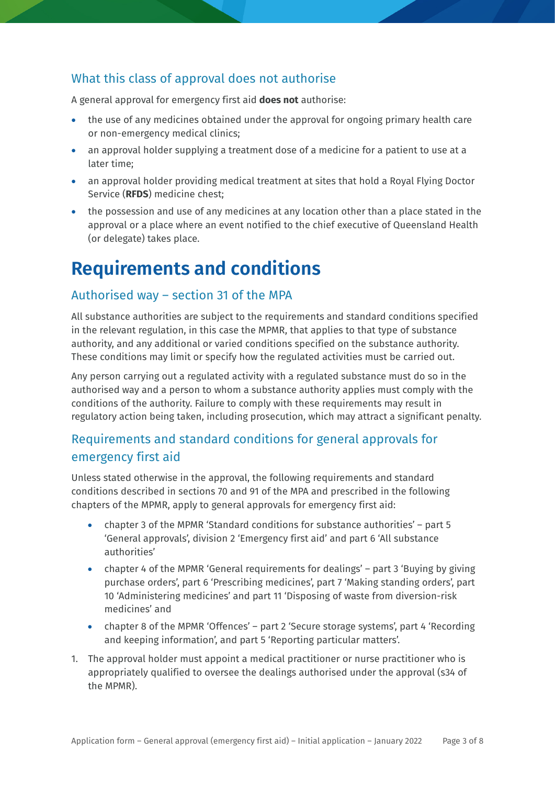## What this class of approval does not authorise

A general approval for emergency first aid **does not** authorise:

- the use of any medicines obtained under the approval for ongoing primary health care or non-emergency medical clinics;
- an approval holder supplying a treatment dose of a medicine for a patient to use at a later time;
- an approval holder providing medical treatment at sites that hold a Royal Flying Doctor Service (**RFDS**) medicine chest;
- the possession and use of any medicines at any location other than a place stated in the approval or a place where an event notified to the chief executive of Queensland Health (or delegate) takes place.

## **Requirements and conditions**

### Authorised way – section 31 of the MPA

All substance authorities are subject to the requirements and standard conditions specified in the relevant regulation, in this case the MPMR, that applies to that type of substance authority, and any additional or varied conditions specified on the substance authority. These conditions may limit or specify how the regulated activities must be carried out.

Any person carrying out a regulated activity with a regulated substance must do so in the authorised way and a person to whom a substance authority applies must comply with the conditions of the authority. Failure to comply with these requirements may result in regulatory action being taken, including prosecution, which may attract a significant penalty.

## Requirements and standard conditions for general approvals for emergency first aid

Unless stated otherwise in the approval, the following requirements and standard conditions described in sections 70 and 91 of the MPA and prescribed in the following chapters of the MPMR, apply to general approvals for emergency first aid:

- chapter 3 of the MPMR 'Standard conditions for substance authorities' part 5 'General approvals', division 2 'Emergency first aid' and part 6 'All substance authorities'
- chapter 4 of the MPMR 'General requirements for dealings' part 3 'Buying by giving purchase orders', part 6 'Prescribing medicines', part 7 'Making standing orders', part 10 'Administering medicines' and part 11 'Disposing of waste from diversion-risk medicines' and
- chapter 8 of the MPMR 'Offences' part 2 'Secure storage systems', part 4 'Recording and keeping information', and part 5 'Reporting particular matters'.
- 1. The approval holder must appoint a medical practitioner or nurse practitioner who is appropriately qualified to oversee the dealings authorised under the approval (s34 of the MPMR).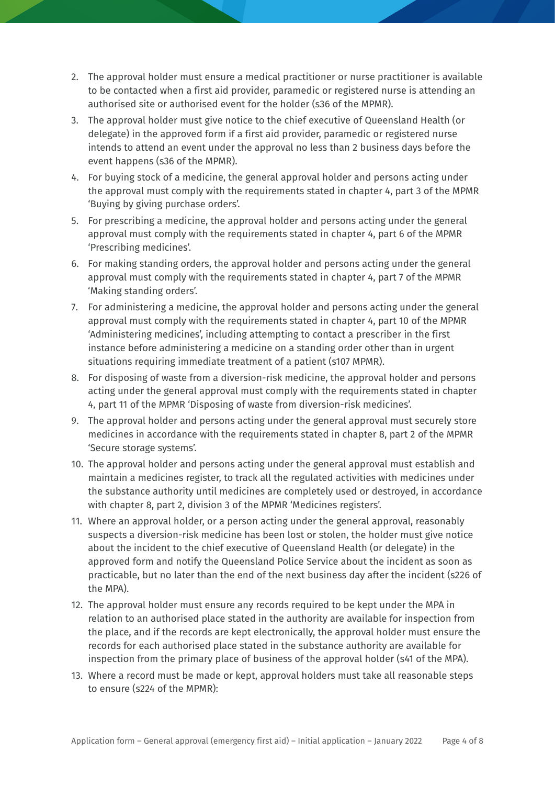- 2. The approval holder must ensure a medical practitioner or nurse practitioner is available to be contacted when a first aid provider, paramedic or registered nurse is attending an authorised site or authorised event for the holder (s36 of the MPMR).
- 3. The approval holder must give notice to the chief executive of Queensland Health (or delegate) in the approved form if a first aid provider, paramedic or registered nurse intends to attend an event under the approval no less than 2 business days before the event happens (s36 of the MPMR).
- 4. For buying stock of a medicine, the general approval holder and persons acting under the approval must comply with the requirements stated in chapter 4, part 3 of the MPMR 'Buying by giving purchase orders'.
- 5. For prescribing a medicine, the approval holder and persons acting under the general approval must comply with the requirements stated in chapter 4, part 6 of the MPMR 'Prescribing medicines'.
- 6. For making standing orders, the approval holder and persons acting under the general approval must comply with the requirements stated in chapter 4, part 7 of the MPMR 'Making standing orders'.
- 7. For administering a medicine, the approval holder and persons acting under the general approval must comply with the requirements stated in chapter 4, part 10 of the MPMR 'Administering medicines', including attempting to contact a prescriber in the first instance before administering a medicine on a standing order other than in urgent situations requiring immediate treatment of a patient (s107 MPMR).
- 8. For disposing of waste from a diversion-risk medicine, the approval holder and persons acting under the general approval must comply with the requirements stated in chapter 4, part 11 of the MPMR 'Disposing of waste from diversion-risk medicines'.
- 9. The approval holder and persons acting under the general approval must securely store medicines in accordance with the requirements stated in chapter 8, part 2 of the MPMR 'Secure storage systems'.
- 10. The approval holder and persons acting under the general approval must establish and maintain a medicines register, to track all the regulated activities with medicines under the substance authority until medicines are completely used or destroyed, in accordance with chapter 8, part 2, division 3 of the MPMR 'Medicines registers'.
- 11. Where an approval holder, or a person acting under the general approval, reasonably suspects a diversion-risk medicine has been lost or stolen, the holder must give notice about the incident to the chief executive of Queensland Health (or delegate) in the approved form and notify the Queensland Police Service about the incident as soon as practicable, but no later than the end of the next business day after the incident (s226 of the MPA).
- 12. The approval holder must ensure any records required to be kept under the MPA in relation to an authorised place stated in the authority are available for inspection from the place, and if the records are kept electronically, the approval holder must ensure the records for each authorised place stated in the substance authority are available for inspection from the primary place of business of the approval holder (s41 of the MPA).
- 13. Where a record must be made or kept, approval holders must take all reasonable steps to ensure (s224 of the MPMR):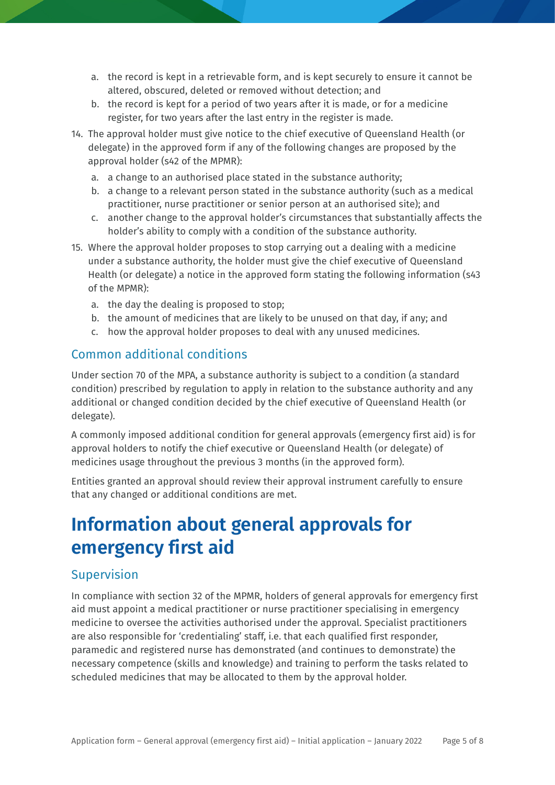- a. the record is kept in a retrievable form, and is kept securely to ensure it cannot be altered, obscured, deleted or removed without detection; and
- b. the record is kept for a period of two years after it is made, or for a medicine register, for two years after the last entry in the register is made.
- 14. The approval holder must give notice to the chief executive of Queensland Health (or delegate) in the approved form if any of the following changes are proposed by the approval holder (s42 of the MPMR):
	- a. a change to an authorised place stated in the substance authority;
	- b. a change to a relevant person stated in the substance authority (such as a medical practitioner, nurse practitioner or senior person at an authorised site); and
	- c. another change to the approval holder's circumstances that substantially affects the holder's ability to comply with a condition of the substance authority.
- 15. Where the approval holder proposes to stop carrying out a dealing with a medicine under a substance authority, the holder must give the chief executive of Queensland Health (or delegate) a notice in the approved form stating the following information (s43 of the MPMR):
	- a. the day the dealing is proposed to stop;
	- b. the amount of medicines that are likely to be unused on that day, if any; and
	- c. how the approval holder proposes to deal with any unused medicines.

### Common additional conditions

Under section 70 of the MPA, a substance authority is subject to a condition (a standard condition) prescribed by regulation to apply in relation to the substance authority and any additional or changed condition decided by the chief executive of Queensland Health (or delegate).

A commonly imposed additional condition for general approvals (emergency first aid) is for approval holders to notify the chief executive or Queensland Health (or delegate) of medicines usage throughout the previous 3 months (in the approved form).

Entities granted an approval should review their approval instrument carefully to ensure that any changed or additional conditions are met.

## **Information about general approvals for emergency first aid**

### **Supervision**

In compliance with section 32 of the MPMR, holders of general approvals for emergency first aid must appoint a medical practitioner or nurse practitioner specialising in emergency medicine to oversee the activities authorised under the approval. Specialist practitioners are also responsible for 'credentialing' staff, i.e. that each qualified first responder, paramedic and registered nurse has demonstrated (and continues to demonstrate) the necessary competence (skills and knowledge) and training to perform the tasks related to scheduled medicines that may be allocated to them by the approval holder.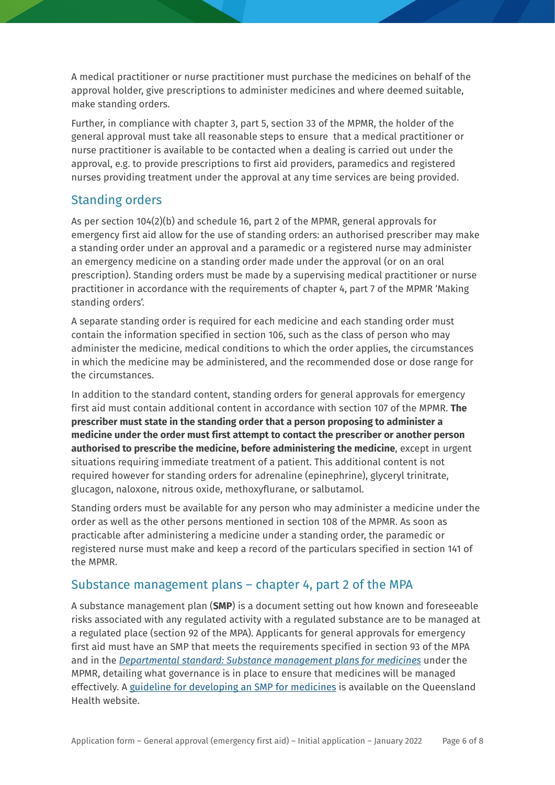A medical practitioner or nurse practitioner must purchase the medicines on behalf of the approval holder, give prescriptions to administer medicines and where deemed suitable, make standing orders.

Further, in compliance with chapter 3, part 5, section 33 of the MPMR, the holder of the general approval must take all reasonable steps to ensure that a medical practitioner or nurse practitioner is available to be contacted when a dealing is carried out under the approval, e.g. to provide prescriptions to first aid providers, paramedics and registered nurses providing treatment under the approval at any time services are being provided.

## Standing orders

As per section 104(2)(b) and schedule 16, part 2 of the MPMR, general approvals for emergency first aid allow for the use of standing orders: an authorised prescriber may make a standing order under an approval and a paramedic or a registered nurse may administer an emergency medicine on a standing order made under the approval (or on an oral prescription). Standing orders must be made by a supervising medical practitioner or nurse practitioner in accordance with the requirements of chapter 4, part 7 of the MPMR 'Making standing orders'.

A separate standing order is required for each medicine and each standing order must contain the information specified in section 106, such as the class of person who may administer the medicine, medical conditions to which the order applies, the circumstances in which the medicine may be administered, and the recommended dose or dose range for the circumstances.

In addition to the standard content, standing orders for general approvals for emergency first aid must contain additional content in accordance with section 107 of the MPMR. **The prescriber must state in the standing order that a person proposing to administer a medicine under the order must first attempt to contact the prescriber or another person authorised to prescribe the medicine, before administering the medicine**, except in urgent situations requiring immediate treatment of a patient. This additional content is not required however for standing orders for adrenaline (epinephrine), glyceryl trinitrate, glucagon, naloxone, nitrous oxide, methoxyflurane, or salbutamol.

Standing orders must be available for any person who may administer a medicine under the order as well as the other persons mentioned in section 108 of the MPMR. As soon as practicable after administering a medicine under a standing order, the paramedic or registered nurse must make and keep a record of the particulars specified in section 141 of the MPMR.

### Substance management plans – chapter 4, part 2 of the MPA

A substance management plan (**SMP**) is a document setting out how known and foreseeable risks associated with any regulated activity with a regulated substance are to be managed at a regulated place (section 92 of the MPA). Applicants for general approvals for emergency first aid must have an SMP that meets the requirements specified in section 93 of the MPA and in the *[Departmental standard: Substance management plans for medicines](https://www.health.qld.gov.au/__data/assets/pdf_file/0023/1108940/ds-substance-management-plans-medicines.pdf)* under the MPMR, detailing what governance is in place to ensure that medicines will be managed effectively. A [guideline for developing an SMP for medicines](https://www.health.qld.gov.au/__data/assets/pdf_file/0026/1110788/guide-smp-medicines.pdf) is available on the Queensland Health website.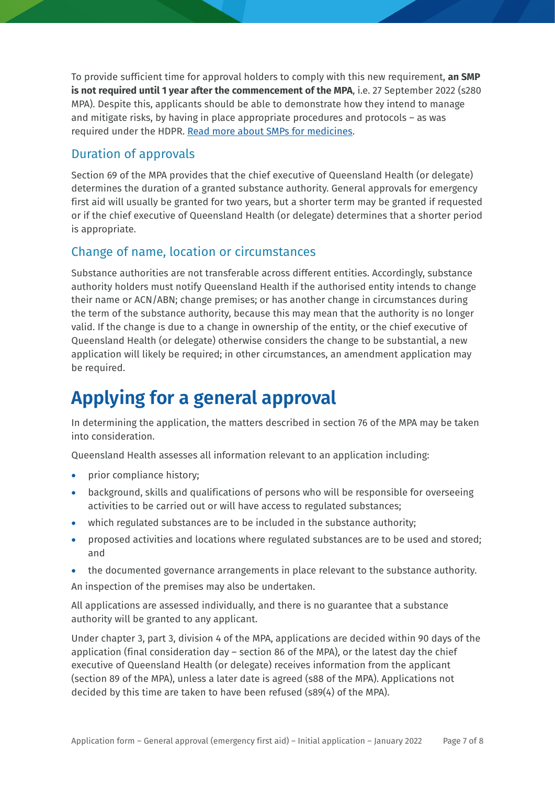To provide sufficient time for approval holders to comply with this new requirement, **an SMP is not required until 1 year after the commencement of the MPA,** i.e. 27 September 2022 (s280 MPA). Despite this, applicants should be able to demonstrate how they intend to manage and mitigate risks, by having in place appropriate procedures and protocols – as was required under the HDPR. [Read more about SMPs for medicines.](https://www.health.qld.gov.au/system-governance/licences/medicines-poisons/medicines/substance-management-plans)

## Duration of approvals

Section 69 of the MPA provides that the chief executive of Queensland Health (or delegate) determines the duration of a granted substance authority. General approvals for emergency first aid will usually be granted for two years, but a shorter term may be granted if requested or if the chief executive of Queensland Health (or delegate) determines that a shorter period is appropriate.

## Change of name, location or circumstances

Substance authorities are not transferable across different entities. Accordingly, substance authority holders must notify Queensland Health if the authorised entity intends to change their name or ACN/ABN; change premises; or has another change in circumstances during the term of the substance authority, because this may mean that the authority is no longer valid. If the change is due to a change in ownership of the entity, or the chief executive of Queensland Health (or delegate) otherwise considers the change to be substantial, a new application will likely be required; in other circumstances, an amendment application may be required.

## **Applying for a general approval**

In determining the application, the matters described in section 76 of the MPA may be taken into consideration.

Queensland Health assesses all information relevant to an application including:

- prior compliance history;
- background, skills and qualifications of persons who will be responsible for overseeing activities to be carried out or will have access to regulated substances;
- which regulated substances are to be included in the substance authority;
- proposed activities and locations where regulated substances are to be used and stored; and
- the documented governance arrangements in place relevant to the substance authority.

An inspection of the premises may also be undertaken.

All applications are assessed individually, and there is no guarantee that a substance authority will be granted to any applicant.

Under chapter 3, part 3, division 4 of the MPA, applications are decided within 90 days of the application (final consideration day – section 86 of the MPA), or the latest day the chief executive of Queensland Health (or delegate) receives information from the applicant (section 89 of the MPA), unless a later date is agreed (s88 of the MPA). Applications not decided by this time are taken to have been refused (s89(4) of the MPA).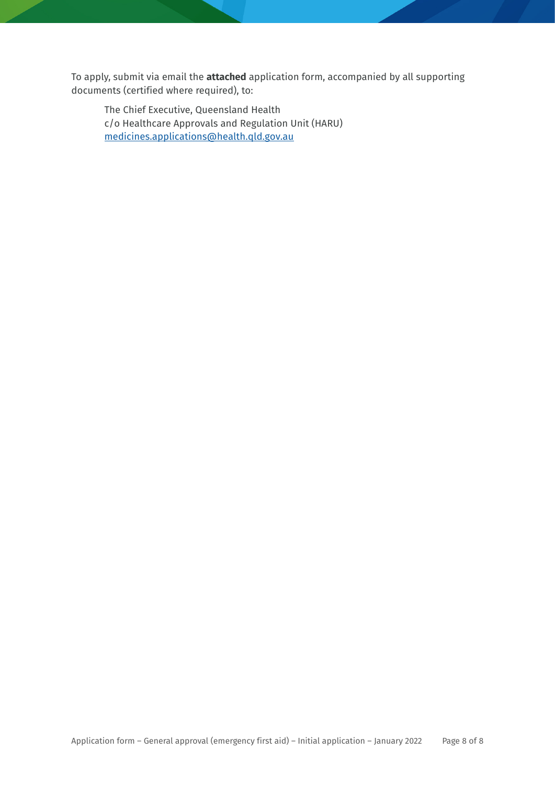To apply, submit via email the **attached** application form, accompanied by all supporting documents (certified where required), to:

The Chief Executive, Queensland Health c/o Healthcare Approvals and Regulation Unit (HARU) [medicines.applications@health.qld.gov.au](mailto:medicines.applications@health.qld.gov.au)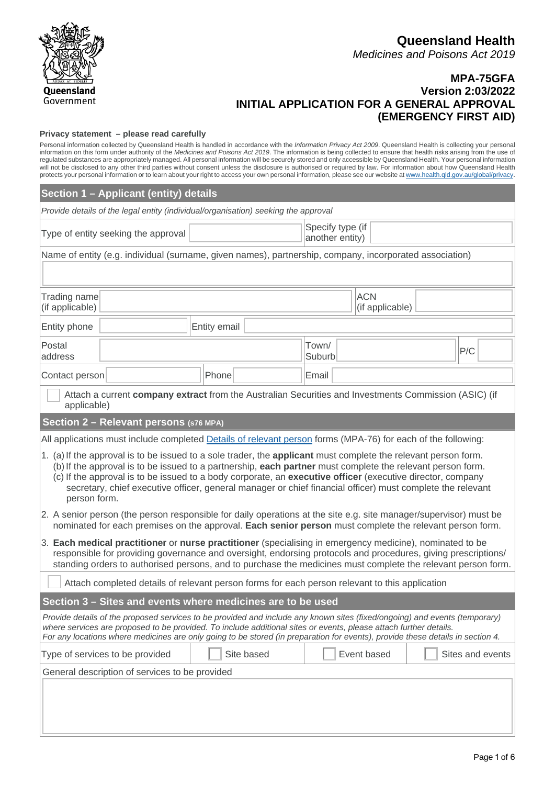

#### **Queensland Health** *Medicines and Poisons Act 2019*

#### **MPA-75GFA Version 2:03/2022 INITIAL APPLICATION FOR A GENERAL APPROVAL (EMERGENCY FIRST AID)**

#### **Privacy statement – please read carefully**

Personal information collected by Queensland Health is handled in accordance with the *Information Privacy Act 2009*. Queensland Health is collecting your personal information on this form under authority of the *Medicines and Poisons Act 2019*. The information is being collected to ensure that health risks arising from the use of regulated substances are appropriately managed. All personal information will be securely stored and only accessible by Queensland Health. Your personal information will not be disclosed to any other third parties without consent unless the disclosure is authorised or required by law. For information about how Queensland Health protects your personal information or to learn about your right to access your own personal information, please see our website at [www.health.qld.gov.au/global/privacy.](http://www.health.qld.gov.au/global/privacy)

| Section 1 - Applicant (entity) details                                                                                                                                                                                                                                                                                                                                                                                                                                   |                                     |                 |             |  |                  |  |  |
|--------------------------------------------------------------------------------------------------------------------------------------------------------------------------------------------------------------------------------------------------------------------------------------------------------------------------------------------------------------------------------------------------------------------------------------------------------------------------|-------------------------------------|-----------------|-------------|--|------------------|--|--|
| Provide details of the legal entity (individual/organisation) seeking the approval                                                                                                                                                                                                                                                                                                                                                                                       |                                     |                 |             |  |                  |  |  |
| Type of entity seeking the approval                                                                                                                                                                                                                                                                                                                                                                                                                                      | Specify type (if<br>another entity) |                 |             |  |                  |  |  |
| Name of entity (e.g. individual (surname, given names), partnership, company, incorporated association)                                                                                                                                                                                                                                                                                                                                                                  |                                     |                 |             |  |                  |  |  |
|                                                                                                                                                                                                                                                                                                                                                                                                                                                                          |                                     |                 |             |  |                  |  |  |
| Trading name<br>(if applicable)                                                                                                                                                                                                                                                                                                                                                                                                                                          | <b>ACN</b><br>(if applicable)       |                 |             |  |                  |  |  |
| Entity phone                                                                                                                                                                                                                                                                                                                                                                                                                                                             | Entity email                        |                 |             |  |                  |  |  |
| Postal<br>address                                                                                                                                                                                                                                                                                                                                                                                                                                                        |                                     | Town/<br>Suburb |             |  | P/C              |  |  |
| Phone<br>Contact person                                                                                                                                                                                                                                                                                                                                                                                                                                                  |                                     | Email           |             |  |                  |  |  |
| Attach a current company extract from the Australian Securities and Investments Commission (ASIC) (if<br>applicable)                                                                                                                                                                                                                                                                                                                                                     |                                     |                 |             |  |                  |  |  |
| Section 2 - Relevant persons (s76 MPA)                                                                                                                                                                                                                                                                                                                                                                                                                                   |                                     |                 |             |  |                  |  |  |
| All applications must include completed Details of relevant person forms (MPA-76) for each of the following:                                                                                                                                                                                                                                                                                                                                                             |                                     |                 |             |  |                  |  |  |
| 1. (a) If the approval is to be issued to a sole trader, the applicant must complete the relevant person form.<br>(b) If the approval is to be issued to a partnership, each partner must complete the relevant person form.<br>(c) If the approval is to be issued to a body corporate, an executive officer (executive director, company<br>secretary, chief executive officer, general manager or chief financial officer) must complete the relevant<br>person form. |                                     |                 |             |  |                  |  |  |
| 2. A senior person (the person responsible for daily operations at the site e.g. site manager/supervisor) must be<br>nominated for each premises on the approval. Each senior person must complete the relevant person form.                                                                                                                                                                                                                                             |                                     |                 |             |  |                  |  |  |
| 3. Each medical practitioner or nurse practitioner (specialising in emergency medicine), nominated to be<br>responsible for providing governance and oversight, endorsing protocols and procedures, giving prescriptions/<br>standing orders to authorised persons, and to purchase the medicines must complete the relevant person form.                                                                                                                                |                                     |                 |             |  |                  |  |  |
| Attach completed details of relevant person forms for each person relevant to this application                                                                                                                                                                                                                                                                                                                                                                           |                                     |                 |             |  |                  |  |  |
| Section 3 - Sites and events where medicines are to be used                                                                                                                                                                                                                                                                                                                                                                                                              |                                     |                 |             |  |                  |  |  |
| Provide details of the proposed services to be provided and include any known sites (fixed/ongoing) and events (temporary)<br>where services are proposed to be provided. To include additional sites or events, please attach further details.<br>For any locations where medicines are only going to be stored (in preparation for events), provide these details in section 4.                                                                                        |                                     |                 |             |  |                  |  |  |
| Type of services to be provided                                                                                                                                                                                                                                                                                                                                                                                                                                          | Site based                          |                 | Event based |  | Sites and events |  |  |
| General description of services to be provided                                                                                                                                                                                                                                                                                                                                                                                                                           |                                     |                 |             |  |                  |  |  |
|                                                                                                                                                                                                                                                                                                                                                                                                                                                                          |                                     |                 |             |  |                  |  |  |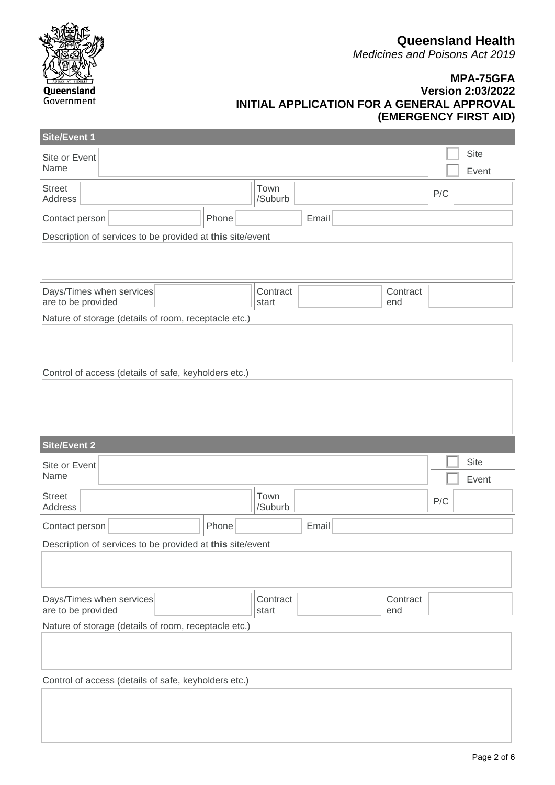**Queensland Health**

*Medicines and Poisons Act 2019*



#### **MPA-75GFA Version 2:03/2022 INITIAL APPLICATION FOR A GENERAL APPROVAL (EMERGENCY FIRST AID)**

| Site/Event 1                                              |  |       |                   |       |                 |                      |
|-----------------------------------------------------------|--|-------|-------------------|-------|-----------------|----------------------|
| Site or Event<br>Name                                     |  |       |                   |       |                 | <b>Site</b><br>Event |
| <b>Street</b><br>Address                                  |  |       | Town<br>/Suburb   |       |                 | P/C                  |
| Contact person                                            |  | Phone |                   | Email |                 |                      |
| Description of services to be provided at this site/event |  |       |                   |       |                 |                      |
|                                                           |  |       |                   |       |                 |                      |
| Days/Times when services<br>are to be provided            |  |       | Contract<br>start |       | Contract<br>end |                      |
| Nature of storage (details of room, receptacle etc.)      |  |       |                   |       |                 |                      |
|                                                           |  |       |                   |       |                 |                      |
| Control of access (details of safe, keyholders etc.)      |  |       |                   |       |                 |                      |
|                                                           |  |       |                   |       |                 |                      |
| <b>Site/Event 2</b>                                       |  |       |                   |       |                 |                      |
| Site or Event<br>Name                                     |  |       |                   |       |                 | <b>Site</b><br>Event |
| <b>Street</b><br>Address                                  |  |       | Town<br>/Suburb   |       |                 | P/C                  |
| Contact person                                            |  | Phone |                   | Email |                 |                      |
| Description of services to be provided at this site/event |  |       |                   |       |                 |                      |
|                                                           |  |       |                   |       |                 |                      |
| Days/Times when services<br>are to be provided            |  |       | Contract<br>start |       | Contract<br>end |                      |
| Nature of storage (details of room, receptacle etc.)      |  |       |                   |       |                 |                      |
|                                                           |  |       |                   |       |                 |                      |
| Control of access (details of safe, keyholders etc.)      |  |       |                   |       |                 |                      |
|                                                           |  |       |                   |       |                 |                      |
|                                                           |  |       |                   |       |                 |                      |
|                                                           |  |       |                   |       |                 |                      |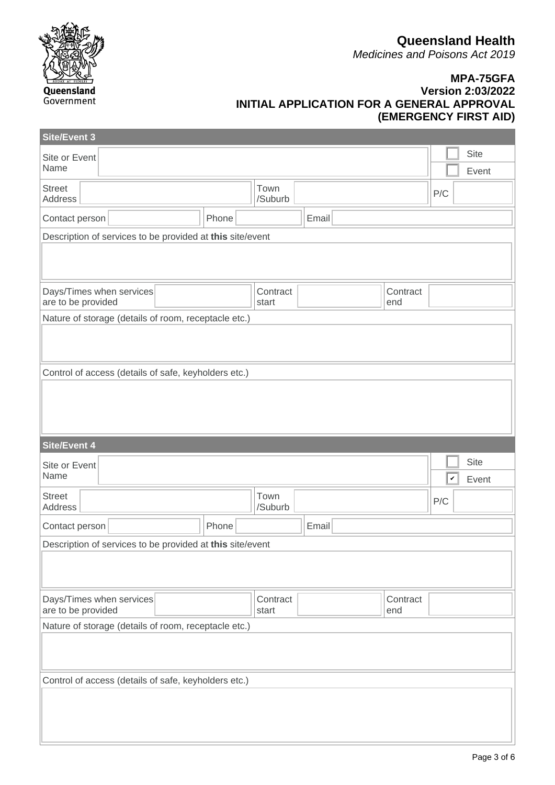**Queensland Health**

*Medicines and Poisons Act 2019*



#### **MPA-75GFA Version 2:03/2022 INITIAL APPLICATION FOR A GENERAL APPROVAL (EMERGENCY FIRST AID)**

| <b>Site/Event 3</b>                                       |       |                   |       |                 |                       |
|-----------------------------------------------------------|-------|-------------------|-------|-----------------|-----------------------|
| Site or Event<br>Name                                     |       |                   |       |                 | Site<br>Event         |
| <b>Street</b><br>Address                                  |       | Town<br>/Suburb   |       |                 | P/C                   |
| Contact person                                            | Phone |                   | Email |                 |                       |
| Description of services to be provided at this site/event |       |                   |       |                 |                       |
|                                                           |       |                   |       |                 |                       |
| Days/Times when services<br>are to be provided            |       | Contract<br>start |       | Contract<br>end |                       |
| Nature of storage (details of room, receptacle etc.)      |       |                   |       |                 |                       |
|                                                           |       |                   |       |                 |                       |
| Control of access (details of safe, keyholders etc.)      |       |                   |       |                 |                       |
|                                                           |       |                   |       |                 |                       |
|                                                           |       |                   |       |                 |                       |
|                                                           |       |                   |       |                 |                       |
| <b>Site/Event 4</b>                                       |       |                   |       |                 | <b>Site</b>           |
| Site or Event<br>Name                                     |       |                   |       |                 | $\checkmark$<br>Event |
| <b>Street</b><br>Address                                  |       | Town<br>/Suburb   |       |                 | P/C                   |
| Contact person                                            | Phone |                   | Email |                 |                       |
| Description of services to be provided at this site/event |       |                   |       |                 |                       |
|                                                           |       |                   |       |                 |                       |
| Days/Times when services<br>are to be provided            |       | Contract<br>start |       | Contract<br>end |                       |
| Nature of storage (details of room, receptacle etc.)      |       |                   |       |                 |                       |
|                                                           |       |                   |       |                 |                       |
| Control of access (details of safe, keyholders etc.)      |       |                   |       |                 |                       |
|                                                           |       |                   |       |                 |                       |
|                                                           |       |                   |       |                 |                       |
|                                                           |       |                   |       |                 |                       |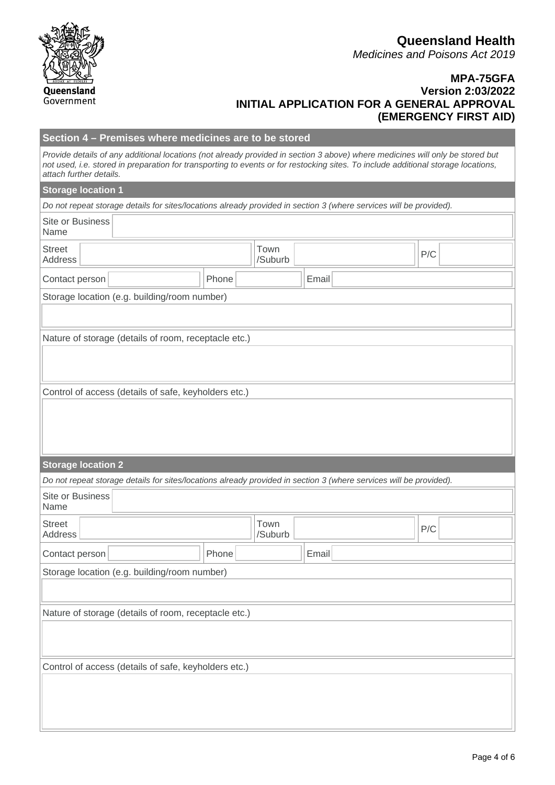|                                 |                                                                                                                                                                                                                                                                    |       |                 |       |  |     | <b>Queensland Hea</b><br><b>Medicines and Poisons Act 20</b><br><b>MPA-75G</b>                         |
|---------------------------------|--------------------------------------------------------------------------------------------------------------------------------------------------------------------------------------------------------------------------------------------------------------------|-------|-----------------|-------|--|-----|--------------------------------------------------------------------------------------------------------|
| Queensland<br>Government        |                                                                                                                                                                                                                                                                    |       |                 |       |  |     | <b>Version 2:03/20</b><br><b>INITIAL APPLICATION FOR A GENERAL APPROV</b><br><b>(EMERGENCY FIRST A</b> |
|                                 | Section 4 - Premises where medicines are to be stored                                                                                                                                                                                                              |       |                 |       |  |     |                                                                                                        |
| attach further details.         | Provide details of any additional locations (not already provided in section 3 above) where medicines will only be stored but<br>not used, i.e. stored in preparation for transporting to events or for restocking sites. To include additional storage locations, |       |                 |       |  |     |                                                                                                        |
| <b>Storage location 1</b>       |                                                                                                                                                                                                                                                                    |       |                 |       |  |     |                                                                                                        |
|                                 | Do not repeat storage details for sites/locations already provided in section 3 (where services will be provided).                                                                                                                                                 |       |                 |       |  |     |                                                                                                        |
| <b>Site or Business</b><br>Name |                                                                                                                                                                                                                                                                    |       |                 |       |  |     |                                                                                                        |
| <b>Street</b><br>Address        |                                                                                                                                                                                                                                                                    |       | Town<br>/Suburb |       |  | P/C |                                                                                                        |
| Contact person                  |                                                                                                                                                                                                                                                                    | Phone |                 | Email |  |     |                                                                                                        |
|                                 | Storage location (e.g. building/room number)                                                                                                                                                                                                                       |       |                 |       |  |     |                                                                                                        |
|                                 |                                                                                                                                                                                                                                                                    |       |                 |       |  |     |                                                                                                        |
|                                 | Nature of storage (details of room, receptacle etc.)                                                                                                                                                                                                               |       |                 |       |  |     |                                                                                                        |
|                                 |                                                                                                                                                                                                                                                                    |       |                 |       |  |     |                                                                                                        |
|                                 | Control of access (details of safe, keyholders etc.)                                                                                                                                                                                                               |       |                 |       |  |     |                                                                                                        |
|                                 |                                                                                                                                                                                                                                                                    |       |                 |       |  |     |                                                                                                        |
|                                 |                                                                                                                                                                                                                                                                    |       |                 |       |  |     |                                                                                                        |
|                                 |                                                                                                                                                                                                                                                                    |       |                 |       |  |     |                                                                                                        |
| <b>Storage location 2</b>       |                                                                                                                                                                                                                                                                    |       |                 |       |  |     |                                                                                                        |
|                                 | Do not repeat storage details for sites/locations already provided in section 3 (where services will be provided).                                                                                                                                                 |       |                 |       |  |     |                                                                                                        |
| Site or Business<br>Name        |                                                                                                                                                                                                                                                                    |       |                 |       |  |     |                                                                                                        |

## **Queensland Health**

*Medicines and Poisons Act 2019*

#### **MPA-75GFA Version 2:03/2022 GENERAL APPROVAL (EMERGENCY FIRST AID)**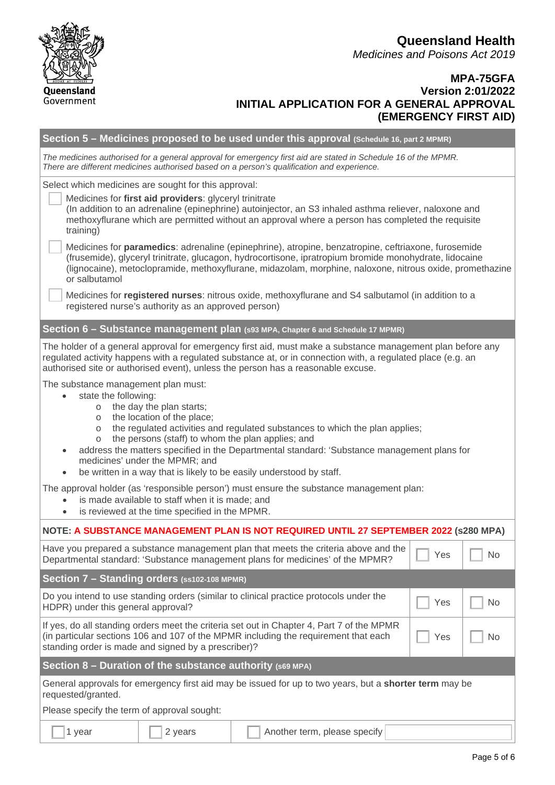**Queensland Health** *Medicines and Poisons Act 2019*

#### **MPA-75GFA Version 2:01/2022 INITIAL APPLICATION FOR A GENERAL APPROVAL (EMERGENCY FIRST AID)**

|                                                                                                                                                                                                                                                                                                                                                                                                                                                                                                                     |                                                                                                                                                                                                                                                                                                               | Section 5 – Medicines proposed to be used under this approval (Schedule 16, part 2 MPMR)                                                                              |     |                             |  |  |  |
|---------------------------------------------------------------------------------------------------------------------------------------------------------------------------------------------------------------------------------------------------------------------------------------------------------------------------------------------------------------------------------------------------------------------------------------------------------------------------------------------------------------------|---------------------------------------------------------------------------------------------------------------------------------------------------------------------------------------------------------------------------------------------------------------------------------------------------------------|-----------------------------------------------------------------------------------------------------------------------------------------------------------------------|-----|-----------------------------|--|--|--|
|                                                                                                                                                                                                                                                                                                                                                                                                                                                                                                                     | The medicines authorised for a general approval for emergency first aid are stated in Schedule 16 of the MPMR.<br>There are different medicines authorised based on a person's qualification and experience.                                                                                                  |                                                                                                                                                                       |     |                             |  |  |  |
|                                                                                                                                                                                                                                                                                                                                                                                                                                                                                                                     | Select which medicines are sought for this approval:                                                                                                                                                                                                                                                          |                                                                                                                                                                       |     |                             |  |  |  |
| training)                                                                                                                                                                                                                                                                                                                                                                                                                                                                                                           | Medicines for first aid providers: glyceryl trinitrate<br>(In addition to an adrenaline (epinephrine) autoinjector, an S3 inhaled asthma reliever, naloxone and<br>methoxyflurane which are permitted without an approval where a person has completed the requisite                                          |                                                                                                                                                                       |     |                             |  |  |  |
| Medicines for paramedics: adrenaline (epinephrine), atropine, benzatropine, ceftriaxone, furosemide<br>(frusemide), glyceryl trinitrate, glucagon, hydrocortisone, ipratropium bromide monohydrate, lidocaine<br>(lignocaine), metoclopramide, methoxyflurane, midazolam, morphine, naloxone, nitrous oxide, promethazine<br>or salbutamol                                                                                                                                                                          |                                                                                                                                                                                                                                                                                                               |                                                                                                                                                                       |     |                             |  |  |  |
|                                                                                                                                                                                                                                                                                                                                                                                                                                                                                                                     | registered nurse's authority as an approved person)                                                                                                                                                                                                                                                           | Medicines for registered nurses: nitrous oxide, methoxyflurane and S4 salbutamol (in addition to a                                                                    |     |                             |  |  |  |
|                                                                                                                                                                                                                                                                                                                                                                                                                                                                                                                     |                                                                                                                                                                                                                                                                                                               | Section 6 - Substance management plan (s93 MPA, Chapter 6 and Schedule 17 MPMR)                                                                                       |     |                             |  |  |  |
|                                                                                                                                                                                                                                                                                                                                                                                                                                                                                                                     | The holder of a general approval for emergency first aid, must make a substance management plan before any<br>regulated activity happens with a regulated substance at, or in connection with, a regulated place (e.g. an<br>authorised site or authorised event), unless the person has a reasonable excuse. |                                                                                                                                                                       |     |                             |  |  |  |
| The substance management plan must:<br>state the following:<br>o the day the plan starts;<br>the location of the place;<br>$\circ$<br>the regulated activities and regulated substances to which the plan applies;<br>$\circ$<br>the persons (staff) to whom the plan applies; and<br>$\circ$<br>address the matters specified in the Departmental standard: 'Substance management plans for<br>medicines' under the MPMR; and<br>be written in a way that is likely to be easily understood by staff.<br>$\bullet$ |                                                                                                                                                                                                                                                                                                               |                                                                                                                                                                       |     |                             |  |  |  |
| The approval holder (as 'responsible person') must ensure the substance management plan:<br>is made available to staff when it is made; and<br>$\bullet$<br>is reviewed at the time specified in the MPMR.<br>$\bullet$                                                                                                                                                                                                                                                                                             |                                                                                                                                                                                                                                                                                                               |                                                                                                                                                                       |     |                             |  |  |  |
|                                                                                                                                                                                                                                                                                                                                                                                                                                                                                                                     |                                                                                                                                                                                                                                                                                                               | NOTE: A SUBSTANCE MANAGEMENT PLAN IS NOT REQUIRED UNTIL 27 SEPTEMBER 2022 (S280 MPA)                                                                                  |     |                             |  |  |  |
|                                                                                                                                                                                                                                                                                                                                                                                                                                                                                                                     |                                                                                                                                                                                                                                                                                                               | Have you prepared a substance management plan that meets the criteria above and the<br>Departmental standard: 'Substance management plans for medicines' of the MPMR? | Yes | $\overline{\phantom{a}}$ No |  |  |  |
| Section 7 - Standing orders (ss102-108 MPMR)                                                                                                                                                                                                                                                                                                                                                                                                                                                                        |                                                                                                                                                                                                                                                                                                               |                                                                                                                                                                       |     |                             |  |  |  |
| Do you intend to use standing orders (similar to clinical practice protocols under the<br>Yes<br>No<br>HDPR) under this general approval?                                                                                                                                                                                                                                                                                                                                                                           |                                                                                                                                                                                                                                                                                                               |                                                                                                                                                                       |     |                             |  |  |  |
| If yes, do all standing orders meet the criteria set out in Chapter 4, Part 7 of the MPMR<br>(in particular sections 106 and 107 of the MPMR including the requirement that each<br>Yes<br>No<br>standing order is made and signed by a prescriber)?                                                                                                                                                                                                                                                                |                                                                                                                                                                                                                                                                                                               |                                                                                                                                                                       |     |                             |  |  |  |
| Section $8$ – Duration of the substance authority (s69 MPA)                                                                                                                                                                                                                                                                                                                                                                                                                                                         |                                                                                                                                                                                                                                                                                                               |                                                                                                                                                                       |     |                             |  |  |  |
| General approvals for emergency first aid may be issued for up to two years, but a shorter term may be<br>requested/granted.                                                                                                                                                                                                                                                                                                                                                                                        |                                                                                                                                                                                                                                                                                                               |                                                                                                                                                                       |     |                             |  |  |  |
| Please specify the term of approval sought:                                                                                                                                                                                                                                                                                                                                                                                                                                                                         |                                                                                                                                                                                                                                                                                                               |                                                                                                                                                                       |     |                             |  |  |  |
| 1 year                                                                                                                                                                                                                                                                                                                                                                                                                                                                                                              | Another term, please specify<br>2 years                                                                                                                                                                                                                                                                       |                                                                                                                                                                       |     |                             |  |  |  |

Queensland Government